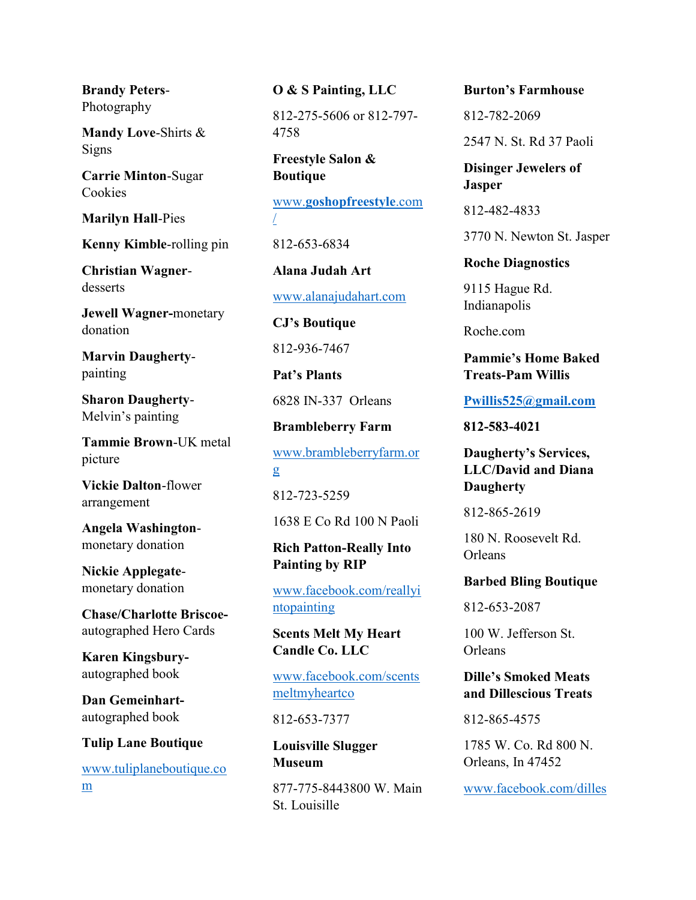Brandy Peters-Photography

Mandy Love-Shirts & Signs

Carrie Minton-Sugar **Cookies** 

Marilyn Hall-Pies

Kenny Kimble-rolling pin

Christian Wagnerdesserts

Jewell Wagner-monetary donation

Marvin Daughertypainting

Sharon Daugherty-Melvin's painting

Tammie Brown-UK metal picture

Vickie Dalton-flower arrangement

Angela Washingtonmonetary donation

Nickie Applegatemonetary donation

Chase/Charlotte Briscoeautographed Hero Cards

Karen Kingsburyautographed book

Dan Gemeinhartautographed book

Tulip Lane Boutique

www.tuliplaneboutique.co m

O & S Painting, LLC

812-275-5606 or 812-797- 4758

Freestyle Salon & Boutique

www.goshopfreestyle.com /

812-653-6834

Alana Judah Art www.alanajudahart.com

CJ's Boutique 812-936-7467

Pat's Plants 6828 IN-337 Orleans

Brambleberry Farm

www.brambleberryfarm.or g

812-723-5259

1638 E Co Rd 100 N Paoli

#### Rich Patton-Really Into Painting by RIP

www.facebook.com/reallyi ntopainting

Scents Melt My Heart Candle Co. LLC

www.facebook.com/scents meltmyheartco

812-653-7377

Louisville Slugger Museum

877-775-8443800 W. Main St. Louisille

#### Burton's Farmhouse

812-782-2069

2547 N. St. Rd 37 Paoli

Disinger Jewelers of Jasper

812-482-4833

3770 N. Newton St. Jasper

Roche Diagnostics

9115 Hague Rd. Indianapolis

Roche.com

Pammie's Home Baked Treats-Pam Willis

Pwillis525@gmail.com

812-583-4021

Daugherty's Services, LLC/David and Diana **Daugherty** 

812-865-2619

180 N. Roosevelt Rd. Orleans

Barbed Bling Boutique

812-653-2087

100 W. Jefferson St. Orleans

#### Dille's Smoked Meats and Dillescious Treats

812-865-4575

1785 W. Co. Rd 800 N. Orleans, In 47452

www.facebook.com/dilles